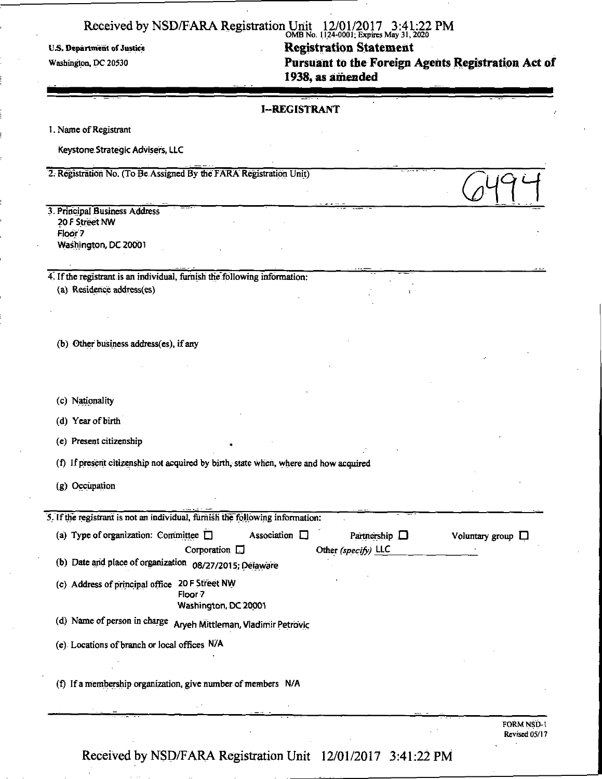OMBNo. 1124-0001; Expires May 31, 2020 U.S. Department of Justice **Registration Statement Registration Statement Washington, DC 20530** Pursuant to the Foreign Agents Registration Act of **1938, as amended** 

### **I-REGISTRANT**

1. Name of Registrant

Keystone.Strategic Advisers, LLC

2. Registration No. (To Be Assigned By the FARA" Registration Unit)

3. Principal Business Address 20 F Street NW Floor? Washington, DC 20001

4. If the registrant is an individual, furnish the following information: (a) Residence address(es)

(b) Other business address(es), if any

(c) Nationality

(d) Year of birth

(e) Present citizenship

(f) If present citizenship not acquired by birth, state when, where and how acquired

(g) Occupation

 $5.$  If the registrant is not an individual, furnish the following information:

| (a) Type of organization: Committee $\square$<br>Association $\square$               | Partnership $\Box$  | Voluntary group $\square$   |
|--------------------------------------------------------------------------------------|---------------------|-----------------------------|
| Corporation $\Box$                                                                   | Other (specify) LLC |                             |
| (b) Date and place of organization<br>08/27/2015; Delaware                           |                     |                             |
| 20 F Street NW<br>(c) Address of principal office<br>Floor 7<br>Washington, DC 20001 |                     |                             |
| (d) Name of person in charge<br>Aryeh Mittleman, Vladimir Petrovic                   |                     |                             |
| (e) Locations of branch or local offices N/A                                         |                     |                             |
| (f) If a membership organization, give number of members N/A                         |                     |                             |
|                                                                                      |                     |                             |
|                                                                                      |                     | FORM NSD-1<br>Revised 05/17 |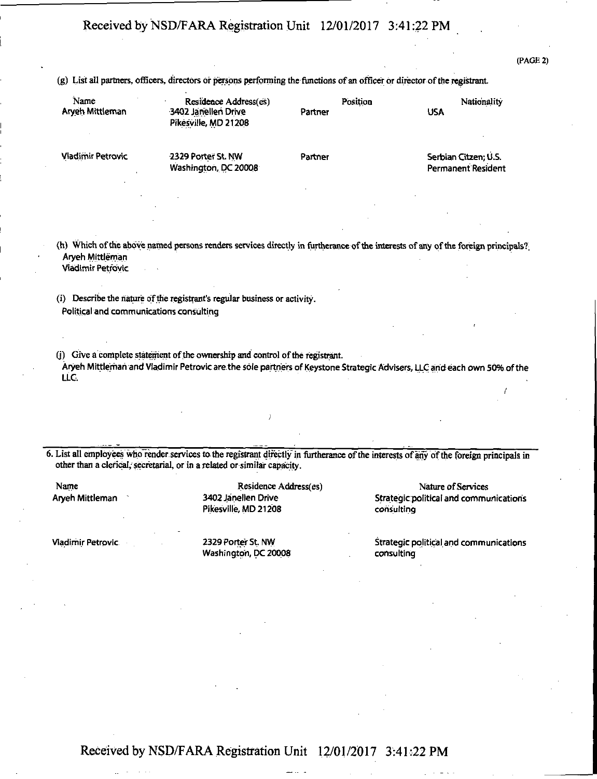(PAGE 2)

(g) List all partners, officers, directors or persons performing foe functions of an officer or director of the registrant.

| Name<br>Arveh Mittleman  | Residence Address(es)<br>3402 Janellen Drive<br>Pikesville, MD 21208 | Position<br>Partner | Nationality<br>USA   |
|--------------------------|----------------------------------------------------------------------|---------------------|----------------------|
| <b>Vladimir Petrovic</b> | 2329 Porter St. NW                                                   | Partner             | Serbian Citzen; U.S. |

Washington, DC 20008 Permanent Resident

(h) Which of the above named persons renders services directly in turtheran.ee of the interests of any of the foreign principals?. Aryeh Mittleman Viadirntr Petrovic

(i) Describe the nature of the registrant's regular business or activity. Political and communications consulting

(j) Give a complete statement of the ownership and control of the registrant.

Aryeh Mittleman and Vladimir Petrovic are. the sole partners of Keystone Strategic Advisers, LLC and each own 50% of the LLC,

6. List all employees who render, services to the registrant directly in furtherance of the interests of any of the foreign principals in other than a clerical,' secretarial, or in a related or similar capacity.

Pikesville, MD 21208 consulting

Washington, DC 20008 consulting

Name Residence Address(es) Nature of Services Residence Address(es) Nature of Services<br>Aryeh Mittleman 3402 Janellen Drive Strategic political and commu Strategic political and communications

Vladimir Petrovic **2329 Porter St. NW Strategic political and communications** CON Strategic political and communications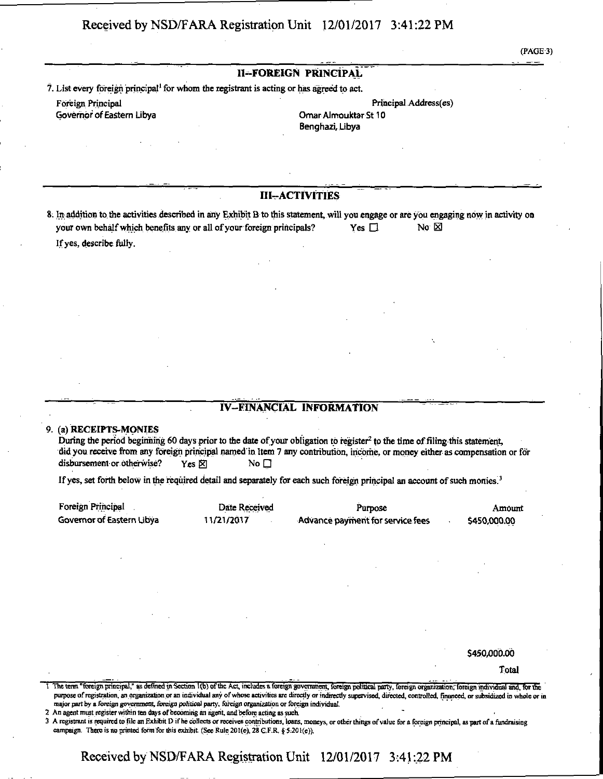(PAGE3)

#### **II-FOREIGN PRINCIPAL**

**7. List every foreign principal' for whom the registrant is acting or has agreed to act.** 

**Foreign Principal Principal Address(es)**  Governor of Eastern Libya **Omar Almouktar St 10** 

Benghazi, Libya

**III-ACTIVITIES** 

**8. In addition to the activities described in any Exhibit B to this statement, will you engage or are you engaging now in activity on your own behalf which benefits any or all of your foreign principals?** Yes  $\Box$  No  $\boxtimes$ **If yes, describe fully.** 

### **IV-FINANCIAL INFORMATION**

#### **9. (a) RECEIPTS-MONIES**

**During the period beginning 60 days prior to the date of your obligation to register<sup>2</sup> to the time of filing this statement,**  did you receive from any foreign principal named in Item 7 any contribution, income, or money either as compensation or for disbursement or otherwise? Yes  $\times$  No  $\Box$ 

If yes, set forth below in the required detail and separately for each such foreign principal an account of such monies.<sup>3</sup>

| Foreign Principal         | Date Received | Purpose                          | Amount       |
|---------------------------|---------------|----------------------------------|--------------|
| Governor of Eastern Libya | 11/21/2017    | Advance payment for service fees | \$450,000.00 |

\$450,000.00

Total

1 The term "foreign principal," as defined in Section 1(b) of the Act, includes a foreign government, foreign political party, foreign organization, foreign individual and, for the purpose of registration, an organization or an individual any of whose activities are directly or indirectly supervised, directed, controlled, financed, or subsidized in whole or in major part by a foreign government, foreign political party, foreign organization or foreign individual.

2 An agent must register within ten days of becoming an agent, and before acting as such.

3 A registrant is required to file an Exhibit D if he collects or receives contributions, loans, moneys, or other things of value for a foreign principal, as part of a fundraising campaign. There is no printed form for this exhibit (See Rule 201(e), 28 G.F.R. § 5:201(e)).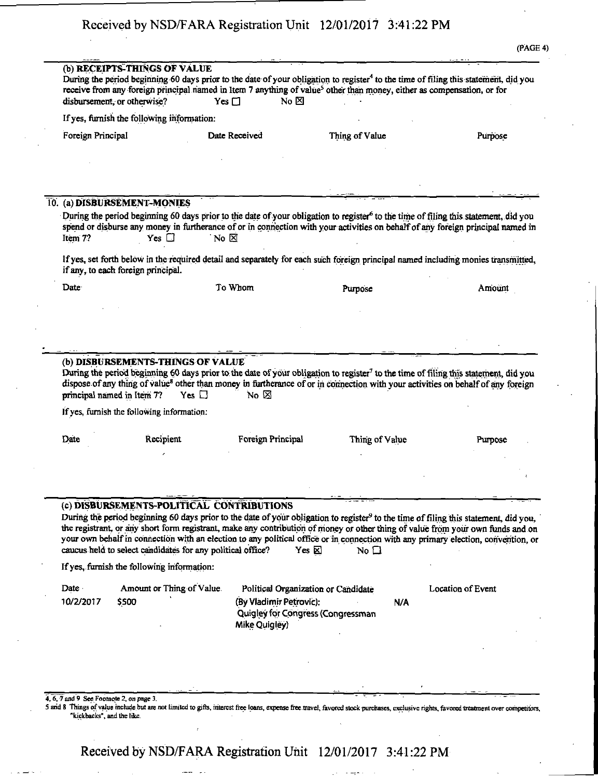|                   | (b) RECEIPTS-THINGS OF VALUE<br>disbursement, or otherwise?     | No $\boxtimes$<br>Yes $\Box$              | receive from any foreign principal named in Item 7 anything of value <sup>5</sup> other than money, either as compensation, or for | During the period beginning 60 days prior to the date of your obligation to register <sup>4</sup> to the time of filing this statement, did you                                                                                                                                                                                                                                                                          |
|-------------------|-----------------------------------------------------------------|-------------------------------------------|------------------------------------------------------------------------------------------------------------------------------------|--------------------------------------------------------------------------------------------------------------------------------------------------------------------------------------------------------------------------------------------------------------------------------------------------------------------------------------------------------------------------------------------------------------------------|
|                   | If yes, furnish the following information:                      |                                           |                                                                                                                                    |                                                                                                                                                                                                                                                                                                                                                                                                                          |
| Foreign Principal |                                                                 | Date Received                             | Thing of Value                                                                                                                     | Purpose                                                                                                                                                                                                                                                                                                                                                                                                                  |
|                   |                                                                 |                                           |                                                                                                                                    |                                                                                                                                                                                                                                                                                                                                                                                                                          |
|                   |                                                                 |                                           |                                                                                                                                    |                                                                                                                                                                                                                                                                                                                                                                                                                          |
| Item 7?           | 10. (a) DISBURSEMENT-MONIES<br>$Yes \Box$                       | No $\boxtimes$                            |                                                                                                                                    | During the period beginning 60 days prior to the date of your obligation to register <sup>6</sup> to the time of filing this statement, did you<br>spend or disburse any money in furtherance of or in connection with your activities on behalf of any foreign principal named in                                                                                                                                       |
|                   | if any, to each foreign principal.                              |                                           |                                                                                                                                    | If yes, set forth below in the required detail and separately for each such foreign principal named including monies transmitted,                                                                                                                                                                                                                                                                                        |
| Date:             |                                                                 | To Whom                                   | Purpose                                                                                                                            | Amount                                                                                                                                                                                                                                                                                                                                                                                                                   |
|                   |                                                                 |                                           |                                                                                                                                    |                                                                                                                                                                                                                                                                                                                                                                                                                          |
|                   |                                                                 |                                           |                                                                                                                                    |                                                                                                                                                                                                                                                                                                                                                                                                                          |
|                   |                                                                 |                                           |                                                                                                                                    |                                                                                                                                                                                                                                                                                                                                                                                                                          |
|                   |                                                                 |                                           |                                                                                                                                    |                                                                                                                                                                                                                                                                                                                                                                                                                          |
|                   | (b) DISBURSEMENTS-THINGS OF VALUE<br>principal named in Item 7? | Yes $\Box$<br>No $\boxtimes$              |                                                                                                                                    | During the period beginning 60 days prior to the date of your obligation to register <sup>7</sup> to the time of filing this statement, did you<br>dispose of any thing of value <sup>8</sup> other than money in furtherance of or in connection with your activities on behalf of any foreign                                                                                                                          |
|                   | If yes, furnish the following information:                      |                                           |                                                                                                                                    |                                                                                                                                                                                                                                                                                                                                                                                                                          |
| Date              | Recipient                                                       | Foreign Principal                         | Thing of Value                                                                                                                     | Purpose                                                                                                                                                                                                                                                                                                                                                                                                                  |
|                   |                                                                 |                                           |                                                                                                                                    |                                                                                                                                                                                                                                                                                                                                                                                                                          |
|                   |                                                                 |                                           |                                                                                                                                    |                                                                                                                                                                                                                                                                                                                                                                                                                          |
|                   |                                                                 |                                           |                                                                                                                                    |                                                                                                                                                                                                                                                                                                                                                                                                                          |
|                   | caucus held to select candidates for any political office?      | (c) DISBURSEMENTS-POLITICAL CONTRIBUTIONS | Yes $\boxtimes$<br>No $\square$                                                                                                    |                                                                                                                                                                                                                                                                                                                                                                                                                          |
|                   | If yes, furnish the following information:                      |                                           |                                                                                                                                    | During the period beginning 60 days prior to the date of your obligation to register <sup>9</sup> to the time of filing this statement, did you,<br>the registrant, or any short form registrant, make any contribution of money or other thing of value from your own funds and on<br>your own behalf in connection with an election to any political office or in connection with any primary election, convention, or |
| Date<br>10/2/2017 | Amount or Thing of Value.<br>\$500                              | (By Vladimir Petrovic):<br>Mike Quigley)  | Political Organization or Candidate<br>N/A<br>Quigley for Congress (Congressman                                                    | <b>Location of Event</b>                                                                                                                                                                                                                                                                                                                                                                                                 |
|                   |                                                                 |                                           |                                                                                                                                    |                                                                                                                                                                                                                                                                                                                                                                                                                          |
|                   |                                                                 |                                           |                                                                                                                                    |                                                                                                                                                                                                                                                                                                                                                                                                                          |
|                   |                                                                 |                                           |                                                                                                                                    |                                                                                                                                                                                                                                                                                                                                                                                                                          |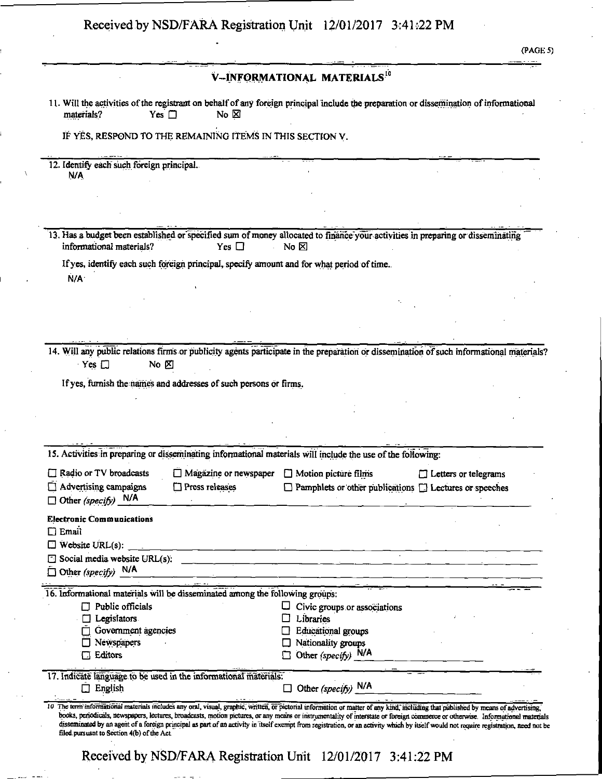| Received by NSD/FARA Registration Unit 12/01/2017 3:41:22 PM |  |  |
|--------------------------------------------------------------|--|--|
|--------------------------------------------------------------|--|--|

(PAGE 5)

|                                                                                                                                          |                                                                                           | V-INFORMATIONAL MATERIALS. <sup>10</sup>                                                                                                             |                             |  |
|------------------------------------------------------------------------------------------------------------------------------------------|-------------------------------------------------------------------------------------------|------------------------------------------------------------------------------------------------------------------------------------------------------|-----------------------------|--|
| materials?                                                                                                                               | Yes $\square$<br>No $\boxtimes$                                                           | 11. Will the activities of the registrant on behalf of any foreign principal include the preparation or dissemination of informational               |                             |  |
|                                                                                                                                          | IF YES, RESPOND TO THE REMAINING ITEMS IN THIS SECTION V.                                 |                                                                                                                                                      |                             |  |
| 12. Identify each such foreign principal.                                                                                                |                                                                                           |                                                                                                                                                      |                             |  |
| N/A                                                                                                                                      |                                                                                           |                                                                                                                                                      |                             |  |
|                                                                                                                                          |                                                                                           |                                                                                                                                                      |                             |  |
|                                                                                                                                          |                                                                                           |                                                                                                                                                      |                             |  |
| informational materials?                                                                                                                 | Yes $\Box$                                                                                | 13. Has a budget been established or specified sum of money allocated to finance your activities in preparing or disseminating<br>No $\not\boxtimes$ |                             |  |
|                                                                                                                                          | If yes, identify each such foreign principal, specify amount and for what period of time. |                                                                                                                                                      |                             |  |
| N/A <sup>-</sup>                                                                                                                         |                                                                                           |                                                                                                                                                      |                             |  |
|                                                                                                                                          |                                                                                           |                                                                                                                                                      |                             |  |
|                                                                                                                                          |                                                                                           |                                                                                                                                                      |                             |  |
|                                                                                                                                          |                                                                                           |                                                                                                                                                      |                             |  |
|                                                                                                                                          |                                                                                           |                                                                                                                                                      |                             |  |
| $Yes$ $\Box$                                                                                                                             |                                                                                           |                                                                                                                                                      |                             |  |
| No $\n  z\n$                                                                                                                             | If yes, furnish the names and addresses of such persons or firms.                         |                                                                                                                                                      |                             |  |
|                                                                                                                                          |                                                                                           |                                                                                                                                                      |                             |  |
| 14. Will any public relations firms or publicity agents participate in the preparation or dissemination of such informational materials? |                                                                                           |                                                                                                                                                      |                             |  |
|                                                                                                                                          |                                                                                           |                                                                                                                                                      |                             |  |
|                                                                                                                                          |                                                                                           | 15. Activities in preparing or disseminating informational materials will include the use of the following:                                          |                             |  |
|                                                                                                                                          | $\Box$ Magazine or newspaper                                                              | $\Box$ Motion picture films                                                                                                                          | $\Box$ Letters or telegrams |  |
| Advertising campaigns                                                                                                                    | Press releases                                                                            | $\Box$ Pamphlets or other publications $\Box$ Lectures or speeches                                                                                   |                             |  |
|                                                                                                                                          |                                                                                           |                                                                                                                                                      |                             |  |
|                                                                                                                                          |                                                                                           |                                                                                                                                                      |                             |  |
|                                                                                                                                          |                                                                                           |                                                                                                                                                      |                             |  |
|                                                                                                                                          |                                                                                           | $\Box$ Social media website URL(s):                                                                                                                  |                             |  |
| Other (specify) $N/A$                                                                                                                    |                                                                                           |                                                                                                                                                      |                             |  |
|                                                                                                                                          | 16. Informational materials will be disseminated among the following groups:              |                                                                                                                                                      |                             |  |
| Public officials                                                                                                                         |                                                                                           | Civic groups or associations                                                                                                                         |                             |  |
| $\Box$ Legislators                                                                                                                       |                                                                                           | Libraries                                                                                                                                            |                             |  |
| Government agencies                                                                                                                      |                                                                                           | <b>Educational groups</b>                                                                                                                            |                             |  |
| Newspapers<br>Editors                                                                                                                    |                                                                                           | Nationality groups<br>Other (specify) $N/A$                                                                                                          |                             |  |
|                                                                                                                                          |                                                                                           |                                                                                                                                                      |                             |  |
| □ Radio or TV broadcasts<br>$\Box$ Other (specify) $N/A$<br><b>Electronic Communications</b><br>$\Box$ Email<br>$\Box$ English           | 17. Indicate language to be used in the informational materials:                          | $\Box$ Other (specify) $N/A$                                                                                                                         |                             |  |